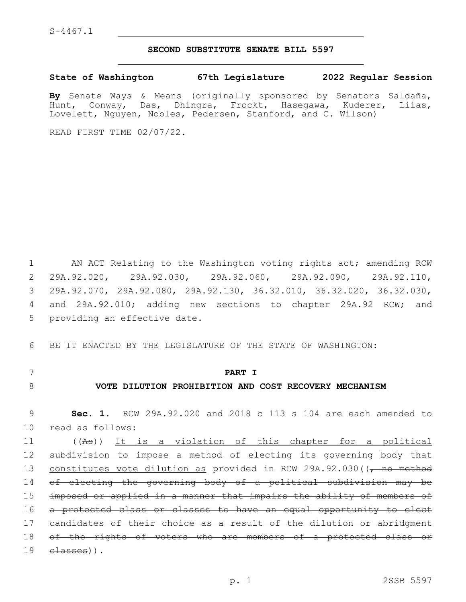#### **SECOND SUBSTITUTE SENATE BILL 5597**

### **State of Washington 67th Legislature 2022 Regular Session**

**By** Senate Ways & Means (originally sponsored by Senators Saldaña, Hunt, Conway, Das, Dhingra, Frockt, Hasegawa, Kuderer, Liias, Lovelett, Nguyen, Nobles, Pedersen, Stanford, and C. Wilson)

READ FIRST TIME 02/07/22.

1 AN ACT Relating to the Washington voting rights act; amending RCW 2 29A.92.020, 29A.92.030, 29A.92.060, 29A.92.090, 29A.92.110, 3 29A.92.070, 29A.92.080, 29A.92.130, 36.32.010, 36.32.020, 36.32.030, 4 and 29A.92.010; adding new sections to chapter 29A.92 RCW; and 5 providing an effective date.

6 BE IT ENACTED BY THE LEGISLATURE OF THE STATE OF WASHINGTON:

### 7 **PART I**

## 8 **VOTE DILUTION PROHIBITION AND COST RECOVERY MECHANISM**

9 **Sec. 1.** RCW 29A.92.020 and 2018 c 113 s 104 are each amended to 10 read as follows:

 ((As)) It is a violation of this chapter for a political subdivision to impose a method of electing its governing body that 13 constitutes vote dilution as provided in RCW 29A.92.030((, no method of electing the governing body of a political subdivision may be imposed or applied in a manner that impairs the ability of members of a protected class or classes to have an equal opportunity to elect candidates of their choice as a result of the dilution or abridgment 18 of the rights of voters who are members of a protected class or classes)).19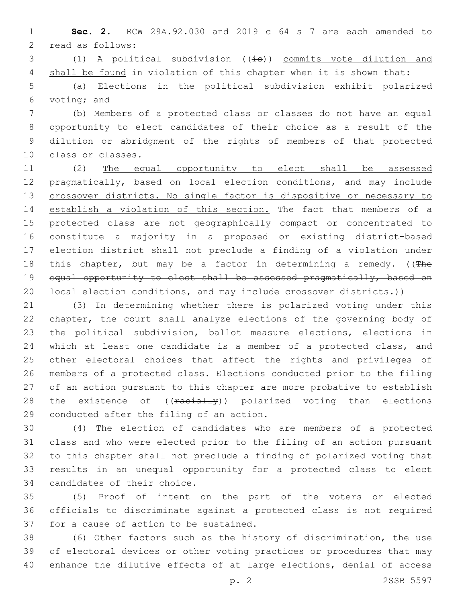**Sec. 2.** RCW 29A.92.030 and 2019 c 64 s 7 are each amended to 2 read as follows:

3 (1) A political subdivision  $((\pm s))$  commits vote dilution and 4 shall be found in violation of this chapter when it is shown that:

 (a) Elections in the political subdivision exhibit polarized 6 voting; and

 (b) Members of a protected class or classes do not have an equal opportunity to elect candidates of their choice as a result of the dilution or abridgment of the rights of members of that protected 10 class or classes.

 (2) The equal opportunity to elect shall be assessed pragmatically, based on local election conditions, and may include 13 crossover districts. No single factor is dispositive or necessary to establish a violation of this section. The fact that members of a protected class are not geographically compact or concentrated to constitute a majority in a proposed or existing district-based election district shall not preclude a finding of a violation under 18 this chapter, but may be a factor in determining a remedy. ( $(The$ 19 equal opportunity to elect shall be assessed pragmatically, based on 20 local election conditions, and may include crossover districts.))

 (3) In determining whether there is polarized voting under this chapter, the court shall analyze elections of the governing body of the political subdivision, ballot measure elections, elections in which at least one candidate is a member of a protected class, and other electoral choices that affect the rights and privileges of members of a protected class. Elections conducted prior to the filing of an action pursuant to this chapter are more probative to establish 28 the existence of ((racially)) polarized voting than elections 29 conducted after the filing of an action.

 (4) The election of candidates who are members of a protected class and who were elected prior to the filing of an action pursuant to this chapter shall not preclude a finding of polarized voting that results in an unequal opportunity for a protected class to elect 34 candidates of their choice.

 (5) Proof of intent on the part of the voters or elected officials to discriminate against a protected class is not required 37 for a cause of action to be sustained.

 (6) Other factors such as the history of discrimination, the use of electoral devices or other voting practices or procedures that may enhance the dilutive effects of at large elections, denial of access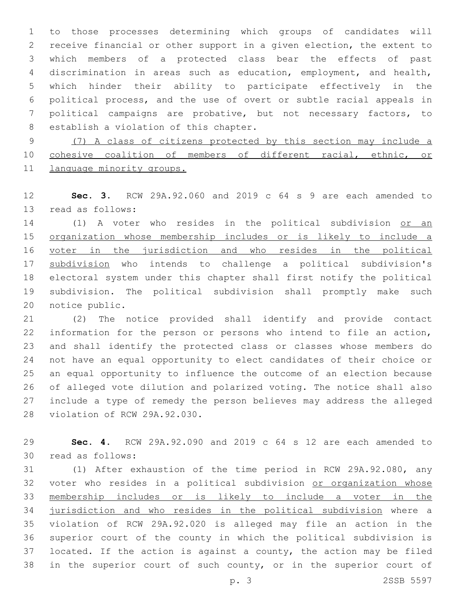to those processes determining which groups of candidates will receive financial or other support in a given election, the extent to which members of a protected class bear the effects of past discrimination in areas such as education, employment, and health, which hinder their ability to participate effectively in the political process, and the use of overt or subtle racial appeals in political campaigns are probative, but not necessary factors, to 8 establish a violation of this chapter.

 (7) A class of citizens protected by this section may include a cohesive coalition of members of different racial, ethnic, or 11 language minority groups.

 **Sec. 3.** RCW 29A.92.060 and 2019 c 64 s 9 are each amended to 13 read as follows:

14 (1) A voter who resides in the political subdivision or an organization whose membership includes or is likely to include a 16 voter in the jurisdiction and who resides in the political subdivision who intends to challenge a political subdivision's electoral system under this chapter shall first notify the political subdivision. The political subdivision shall promptly make such 20 notice public.

 (2) The notice provided shall identify and provide contact information for the person or persons who intend to file an action, and shall identify the protected class or classes whose members do not have an equal opportunity to elect candidates of their choice or an equal opportunity to influence the outcome of an election because of alleged vote dilution and polarized voting. The notice shall also include a type of remedy the person believes may address the alleged 28 violation of RCW 29A.92.030.

 **Sec. 4.** RCW 29A.92.090 and 2019 c 64 s 12 are each amended to 30 read as follows:

 (1) After exhaustion of the time period in RCW 29A.92.080, any 32 voter who resides in a political subdivision or organization whose membership includes or is likely to include a voter in the jurisdiction and who resides in the political subdivision where a violation of RCW 29A.92.020 is alleged may file an action in the superior court of the county in which the political subdivision is located. If the action is against a county, the action may be filed in the superior court of such county, or in the superior court of

p. 3 2SSB 5597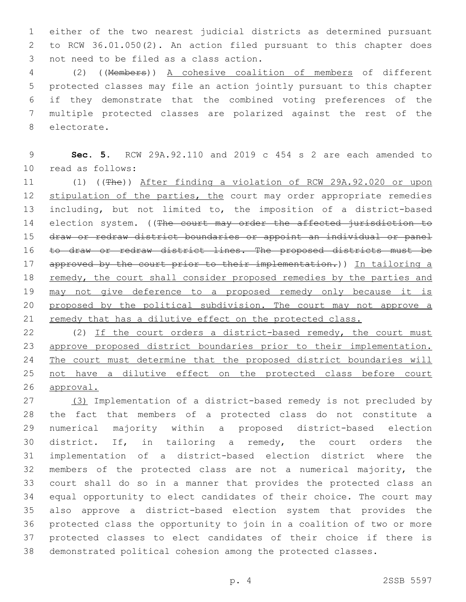either of the two nearest judicial districts as determined pursuant to RCW 36.01.050(2). An action filed pursuant to this chapter does 3 not need to be filed as a class action.

 (2) ((Members)) A cohesive coalition of members of different protected classes may file an action jointly pursuant to this chapter if they demonstrate that the combined voting preferences of the multiple protected classes are polarized against the rest of the 8 electorate.

 **Sec. 5.** RCW 29A.92.110 and 2019 c 454 s 2 are each amended to read as follows:10

 (1) ((The)) After finding a violation of RCW 29A.92.020 or upon 12 stipulation of the parties, the court may order appropriate remedies including, but not limited to, the imposition of a district-based 14 election system. ((The court may order the affected jurisdiction to draw or redraw district boundaries or appoint an individual or panel to draw or redraw district lines. The proposed districts must be 17 approved by the court prior to their implementation.)) In tailoring a 18 remedy, the court shall consider proposed remedies by the parties and may not give deference to a proposed remedy only because it is 20 proposed by the political subdivision. The court may not approve a 21 remedy that has a dilutive effect on the protected class.

22 (2) If the court orders a district-based remedy, the court must approve proposed district boundaries prior to their implementation. The court must determine that the proposed district boundaries will not have a dilutive effect on the protected class before court approval.

 (3) Implementation of a district-based remedy is not precluded by the fact that members of a protected class do not constitute a numerical majority within a proposed district-based election district. If, in tailoring a remedy, the court orders the implementation of a district-based election district where the members of the protected class are not a numerical majority, the court shall do so in a manner that provides the protected class an equal opportunity to elect candidates of their choice. The court may also approve a district-based election system that provides the protected class the opportunity to join in a coalition of two or more protected classes to elect candidates of their choice if there is demonstrated political cohesion among the protected classes.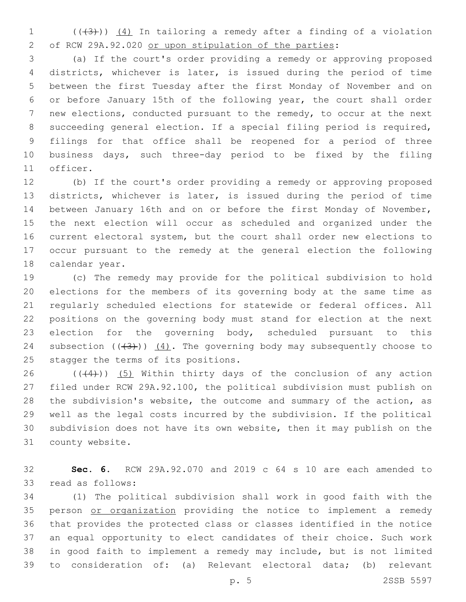(( $(3)$ ))  $(4)$  In tailoring a remedy after a finding of a violation of RCW 29A.92.020 or upon stipulation of the parties:

 (a) If the court's order providing a remedy or approving proposed districts, whichever is later, is issued during the period of time between the first Tuesday after the first Monday of November and on or before January 15th of the following year, the court shall order new elections, conducted pursuant to the remedy, to occur at the next succeeding general election. If a special filing period is required, filings for that office shall be reopened for a period of three business days, such three-day period to be fixed by the filing 11 officer.

 (b) If the court's order providing a remedy or approving proposed districts, whichever is later, is issued during the period of time between January 16th and on or before the first Monday of November, the next election will occur as scheduled and organized under the current electoral system, but the court shall order new elections to occur pursuant to the remedy at the general election the following 18 calendar year.

 (c) The remedy may provide for the political subdivision to hold elections for the members of its governing body at the same time as regularly scheduled elections for statewide or federal offices. All positions on the governing body must stand for election at the next 23 election for the governing body, scheduled pursuant to this 24 subsection  $((+3+))$   $(4)$ . The governing body may subsequently choose to 25 stagger the terms of its positions.

 $((44))$   $(5)$  Within thirty days of the conclusion of any action filed under RCW 29A.92.100, the political subdivision must publish on the subdivision's website, the outcome and summary of the action, as well as the legal costs incurred by the subdivision. If the political subdivision does not have its own website, then it may publish on the 31 county website.

 **Sec. 6.** RCW 29A.92.070 and 2019 c 64 s 10 are each amended to 33 read as follows:

 (1) The political subdivision shall work in good faith with the 35 person or organization providing the notice to implement a remedy that provides the protected class or classes identified in the notice an equal opportunity to elect candidates of their choice. Such work in good faith to implement a remedy may include, but is not limited to consideration of: (a) Relevant electoral data; (b) relevant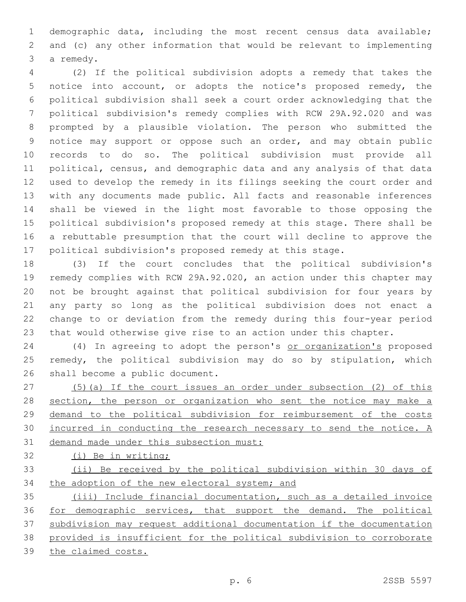demographic data, including the most recent census data available; and (c) any other information that would be relevant to implementing 3 a remedy.

 (2) If the political subdivision adopts a remedy that takes the notice into account, or adopts the notice's proposed remedy, the political subdivision shall seek a court order acknowledging that the political subdivision's remedy complies with RCW 29A.92.020 and was prompted by a plausible violation. The person who submitted the notice may support or oppose such an order, and may obtain public records to do so. The political subdivision must provide all political, census, and demographic data and any analysis of that data used to develop the remedy in its filings seeking the court order and with any documents made public. All facts and reasonable inferences shall be viewed in the light most favorable to those opposing the political subdivision's proposed remedy at this stage. There shall be a rebuttable presumption that the court will decline to approve the political subdivision's proposed remedy at this stage.

 (3) If the court concludes that the political subdivision's remedy complies with RCW 29A.92.020, an action under this chapter may not be brought against that political subdivision for four years by any party so long as the political subdivision does not enact a change to or deviation from the remedy during this four-year period that would otherwise give rise to an action under this chapter.

24 (4) In agreeing to adopt the person's or organization's proposed remedy, the political subdivision may do so by stipulation, which 26 shall become a public document.

 (5)(a) If the court issues an order under subsection (2) of this 28 section, the person or organization who sent the notice may make a demand to the political subdivision for reimbursement of the costs incurred in conducting the research necessary to send the notice. A demand made under this subsection must:

(i) Be in writing;

 (ii) Be received by the political subdivision within 30 days of 34 the adoption of the new electoral system; and

 (iii) Include financial documentation, such as a detailed invoice for demographic services, that support the demand. The political subdivision may request additional documentation if the documentation provided is insufficient for the political subdivision to corroborate the claimed costs.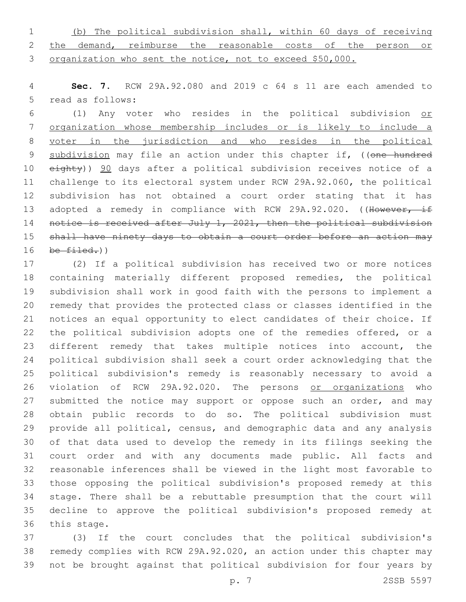(b) The political subdivision shall, within 60 days of receiving 2 the demand, reimburse the reasonable costs of the person or organization who sent the notice, not to exceed \$50,000.

 **Sec. 7.** RCW 29A.92.080 and 2019 c 64 s 11 are each amended to 5 read as follows:

 (1) Any voter who resides in the political subdivision or organization whose membership includes or is likely to include a voter in the jurisdiction and who resides in the political 9 subdivision may file an action under this chapter if, ((one hundred 10 eighty)) 90 days after a political subdivision receives notice of a challenge to its electoral system under RCW 29A.92.060, the political subdivision has not obtained a court order stating that it has 13 adopted a remedy in compliance with RCW 29A.92.020. ((However, if 14 notice is received after July 1, 2021, then the political subdivision 15 shall have ninety days to obtain a court order before an action may be  $filed.)$ )

 (2) If a political subdivision has received two or more notices containing materially different proposed remedies, the political subdivision shall work in good faith with the persons to implement a remedy that provides the protected class or classes identified in the notices an equal opportunity to elect candidates of their choice. If the political subdivision adopts one of the remedies offered, or a different remedy that takes multiple notices into account, the political subdivision shall seek a court order acknowledging that the political subdivision's remedy is reasonably necessary to avoid a violation of RCW 29A.92.020. The persons or organizations who 27 submitted the notice may support or oppose such an order, and may obtain public records to do so. The political subdivision must provide all political, census, and demographic data and any analysis of that data used to develop the remedy in its filings seeking the court order and with any documents made public. All facts and reasonable inferences shall be viewed in the light most favorable to those opposing the political subdivision's proposed remedy at this stage. There shall be a rebuttable presumption that the court will decline to approve the political subdivision's proposed remedy at 36 this stage.

 (3) If the court concludes that the political subdivision's remedy complies with RCW 29A.92.020, an action under this chapter may not be brought against that political subdivision for four years by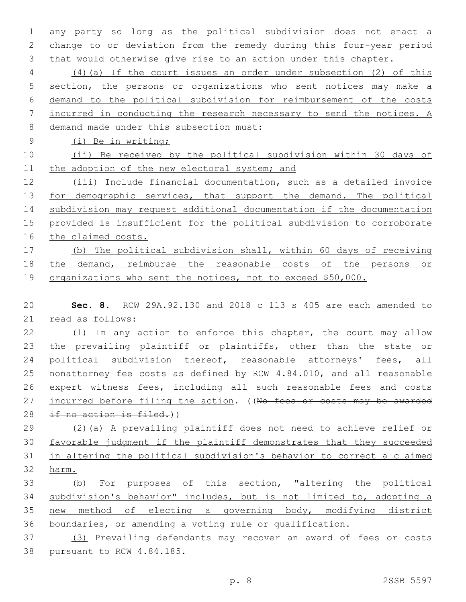any party so long as the political subdivision does not enact a change to or deviation from the remedy during this four-year period that would otherwise give rise to an action under this chapter.

 (4)(a) If the court issues an order under subsection (2) of this section, the persons or organizations who sent notices may make a demand to the political subdivision for reimbursement of the costs incurred in conducting the research necessary to send the notices. A demand made under this subsection must:

(i) Be in writing;

 (ii) Be received by the political subdivision within 30 days of 11 the adoption of the new electoral system; and

 (iii) Include financial documentation, such as a detailed invoice 13 for demographic services, that support the demand. The political subdivision may request additional documentation if the documentation provided is insufficient for the political subdivision to corroborate the claimed costs.

 (b) The political subdivision shall, within 60 days of receiving the demand, reimburse the reasonable costs of the persons or 19 organizations who sent the notices, not to exceed \$50,000.

 **Sec. 8.** RCW 29A.92.130 and 2018 c 113 s 405 are each amended to 21 read as follows:

 (1) In any action to enforce this chapter, the court may allow the prevailing plaintiff or plaintiffs, other than the state or 24 political subdivision thereof, reasonable attorneys' fees, all nonattorney fee costs as defined by RCW 4.84.010, and all reasonable 26 expert witness fees, including all such reasonable fees and costs 27 incurred before filing the action. ((No fees or costs may be awarded 28 if no action is filed.))

 (2)(a) A prevailing plaintiff does not need to achieve relief or favorable judgment if the plaintiff demonstrates that they succeeded in altering the political subdivision's behavior to correct a claimed harm.

 (b) For purposes of this section, "altering the political subdivision's behavior" includes, but is not limited to, adopting a new method of electing a governing body, modifying district boundaries, or amending a voting rule or qualification.

 (3) Prevailing defendants may recover an award of fees or costs 38 pursuant to RCW 4.84.185.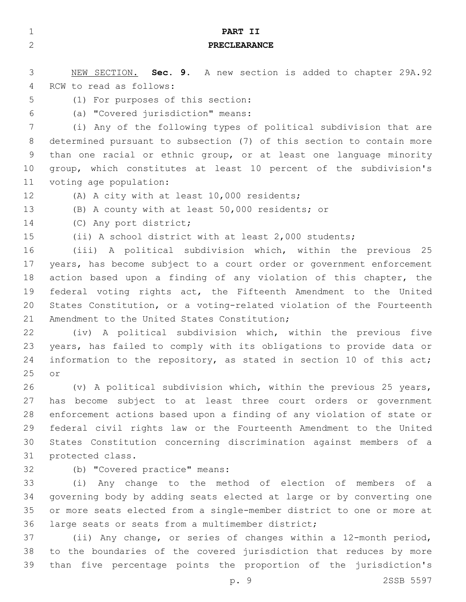| $\mathbf{1}$ | PART II                                                               |
|--------------|-----------------------------------------------------------------------|
| $\mathbf{2}$ | <b>PRECLEARANCE</b>                                                   |
|              |                                                                       |
| 3            | NEW SECTION. Sec. 9. A new section is added to chapter 29A.92         |
| 4            | RCW to read as follows:                                               |
| 5            | (1) For purposes of this section:                                     |
| 6            | (a) "Covered jurisdiction" means:                                     |
| 7            | (i) Any of the following types of political subdivision that are      |
| 8            | determined pursuant to subsection (7) of this section to contain more |
| 9            | than one racial or ethnic group, or at least one language minority    |
| 10           | group, which constitutes at least 10 percent of the subdivision's     |
| 11           | voting age population:                                                |
| 12           | (A) A city with at least 10,000 residents;                            |
| 13           | (B) A county with at least 50,000 residents; or                       |
| 14           | (C) Any port district;                                                |
| 15           | (ii) A school district with at least 2,000 students;                  |
| 16           | (iii) A political subdivision which, within the previous 25           |
| 17           | years, has become subject to a court order or government enforcement  |
| 18           | action based upon a finding of any violation of this chapter, the     |
| 19           | federal voting rights act, the Fifteenth Amendment to the United      |
| 20           | States Constitution, or a voting-related violation of the Fourteenth  |
| 21           | Amendment to the United States Constitution;                          |
| 22           | (iv) A political subdivision which, within the previous five          |
| 23           | years, has failed to comply with its obligations to provide data or   |
| 24           | information to the repository, as stated in section 10 of this act;   |
| 25           | or                                                                    |
| 26           | (v) A political subdivision which, within the previous 25 years,      |
| 27           | has become subject to at least three court orders or government       |
| 28           | enforcement actions based upon a finding of any violation of state or |
| 29           | federal civil rights law or the Fourteenth Amendment to the United    |
| 30           | States Constitution concerning discrimination against members of a    |
| 31           | protected class.                                                      |
| 32           | (b) "Covered practice" means:                                         |
| 33           | (i) Any change to the method of election of members of a              |
| 34           | governing body by adding seats elected at large or by converting one  |
| 35           | or more seats elected from a single-member district to one or more at |
| 36           | large seats or seats from a multimember district;                     |
| 37           | (ii) Any change, or series of changes within a 12-month period,       |
| 38           | to the boundaries of the covered jurisdiction that reduces by more    |

p. 9 2SSB 5597

than five percentage points the proportion of the jurisdiction's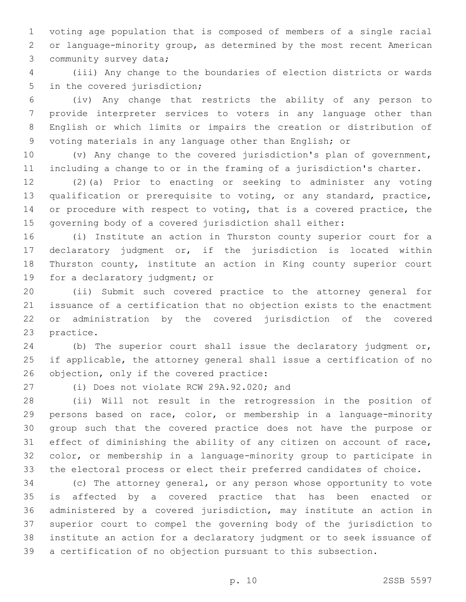voting age population that is composed of members of a single racial or language-minority group, as determined by the most recent American 3 community survey data;

 (iii) Any change to the boundaries of election districts or wards 5 in the covered jurisdiction;

 (iv) Any change that restricts the ability of any person to provide interpreter services to voters in any language other than English or which limits or impairs the creation or distribution of voting materials in any language other than English; or

 (v) Any change to the covered jurisdiction's plan of government, including a change to or in the framing of a jurisdiction's charter.

 (2)(a) Prior to enacting or seeking to administer any voting qualification or prerequisite to voting, or any standard, practice, or procedure with respect to voting, that is a covered practice, the governing body of a covered jurisdiction shall either:

 (i) Institute an action in Thurston county superior court for a declaratory judgment or, if the jurisdiction is located within Thurston county, institute an action in King county superior court 19 for a declaratory judgment; or

 (ii) Submit such covered practice to the attorney general for issuance of a certification that no objection exists to the enactment or administration by the covered jurisdiction of the covered 23 practice.

 (b) The superior court shall issue the declaratory judgment or, if applicable, the attorney general shall issue a certification of no 26 objection, only if the covered practice:

(i) Does not violate RCW 29A.92.020; and

 (ii) Will not result in the retrogression in the position of persons based on race, color, or membership in a language-minority group such that the covered practice does not have the purpose or effect of diminishing the ability of any citizen on account of race, color, or membership in a language-minority group to participate in the electoral process or elect their preferred candidates of choice.

 (c) The attorney general, or any person whose opportunity to vote is affected by a covered practice that has been enacted or administered by a covered jurisdiction, may institute an action in superior court to compel the governing body of the jurisdiction to institute an action for a declaratory judgment or to seek issuance of a certification of no objection pursuant to this subsection.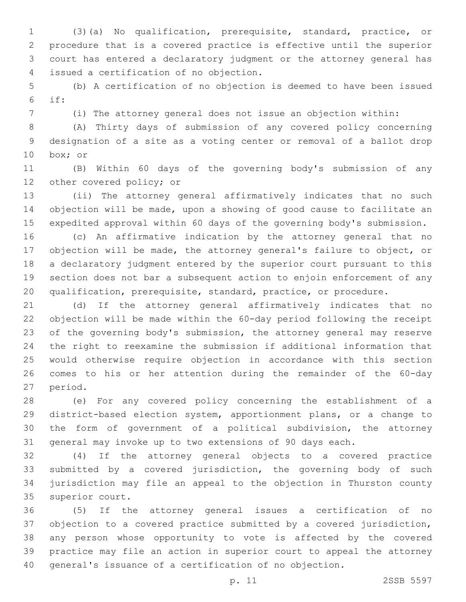(3)(a) No qualification, prerequisite, standard, practice, or procedure that is a covered practice is effective until the superior court has entered a declaratory judgment or the attorney general has issued a certification of no objection.4

 (b) A certification of no objection is deemed to have been issued if:

(i) The attorney general does not issue an objection within:

 (A) Thirty days of submission of any covered policy concerning designation of a site as a voting center or removal of a ballot drop 10 box; or

 (B) Within 60 days of the governing body's submission of any 12 other covered policy; or

 (ii) The attorney general affirmatively indicates that no such objection will be made, upon a showing of good cause to facilitate an expedited approval within 60 days of the governing body's submission.

 (c) An affirmative indication by the attorney general that no objection will be made, the attorney general's failure to object, or a declaratory judgment entered by the superior court pursuant to this section does not bar a subsequent action to enjoin enforcement of any qualification, prerequisite, standard, practice, or procedure.

 (d) If the attorney general affirmatively indicates that no objection will be made within the 60-day period following the receipt of the governing body's submission, the attorney general may reserve the right to reexamine the submission if additional information that would otherwise require objection in accordance with this section comes to his or her attention during the remainder of the 60-day 27 period.

 (e) For any covered policy concerning the establishment of a district-based election system, apportionment plans, or a change to the form of government of a political subdivision, the attorney general may invoke up to two extensions of 90 days each.

 (4) If the attorney general objects to a covered practice submitted by a covered jurisdiction, the governing body of such jurisdiction may file an appeal to the objection in Thurston county 35 superior court.

 (5) If the attorney general issues a certification of no objection to a covered practice submitted by a covered jurisdiction, any person whose opportunity to vote is affected by the covered practice may file an action in superior court to appeal the attorney general's issuance of a certification of no objection.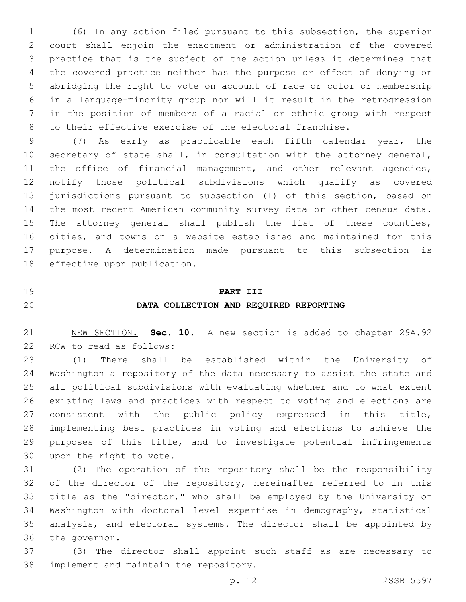(6) In any action filed pursuant to this subsection, the superior court shall enjoin the enactment or administration of the covered practice that is the subject of the action unless it determines that the covered practice neither has the purpose or effect of denying or abridging the right to vote on account of race or color or membership in a language-minority group nor will it result in the retrogression in the position of members of a racial or ethnic group with respect to their effective exercise of the electoral franchise.

 (7) As early as practicable each fifth calendar year, the secretary of state shall, in consultation with the attorney general, 11 the office of financial management, and other relevant agencies, notify those political subdivisions which qualify as covered jurisdictions pursuant to subsection (1) of this section, based on the most recent American community survey data or other census data. The attorney general shall publish the list of these counties, cities, and towns on a website established and maintained for this purpose. A determination made pursuant to this subsection is 18 effective upon publication.

 **PART III DATA COLLECTION AND REQUIRED REPORTING**

 NEW SECTION. **Sec. 10.** A new section is added to chapter 29A.92 22 RCW to read as follows:

 (1) There shall be established within the University of Washington a repository of the data necessary to assist the state and all political subdivisions with evaluating whether and to what extent existing laws and practices with respect to voting and elections are consistent with the public policy expressed in this title, implementing best practices in voting and elections to achieve the purposes of this title, and to investigate potential infringements 30 upon the right to vote.

 (2) The operation of the repository shall be the responsibility 32 of the director of the repository, hereinafter referred to in this title as the "director," who shall be employed by the University of Washington with doctoral level expertise in demography, statistical analysis, and electoral systems. The director shall be appointed by 36 the governor.

 (3) The director shall appoint such staff as are necessary to 38 implement and maintain the repository.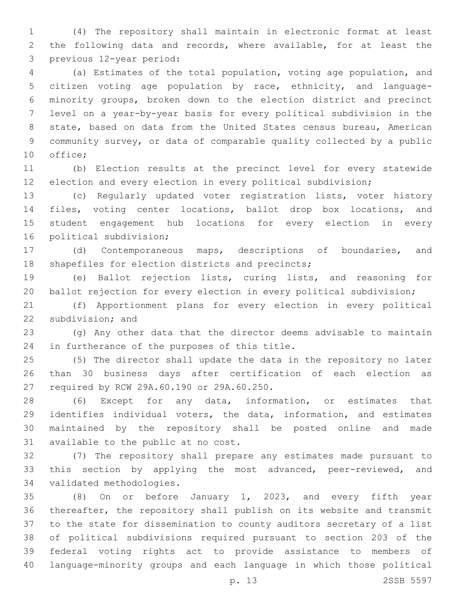(4) The repository shall maintain in electronic format at least the following data and records, where available, for at least the 3 previous 12-year period:

 (a) Estimates of the total population, voting age population, and citizen voting age population by race, ethnicity, and language- minority groups, broken down to the election district and precinct level on a year-by-year basis for every political subdivision in the state, based on data from the United States census bureau, American community survey, or data of comparable quality collected by a public 10 office;

 (b) Election results at the precinct level for every statewide election and every election in every political subdivision;

 (c) Regularly updated voter registration lists, voter history files, voting center locations, ballot drop box locations, and student engagement hub locations for every election in every 16 political subdivision;

 (d) Contemporaneous maps, descriptions of boundaries, and 18 shapefiles for election districts and precincts;

 (e) Ballot rejection lists, curing lists, and reasoning for 20 ballot rejection for every election in every political subdivision;

 (f) Apportionment plans for every election in every political 22 subdivision; and

 (g) Any other data that the director deems advisable to maintain 24 in furtherance of the purposes of this title.

 (5) The director shall update the data in the repository no later than 30 business days after certification of each election as 27 required by RCW 29A.60.190 or 29A.60.250.

 (6) Except for any data, information, or estimates that identifies individual voters, the data, information, and estimates maintained by the repository shall be posted online and made 31 available to the public at no cost.

 (7) The repository shall prepare any estimates made pursuant to 33 this section by applying the most advanced, peer-reviewed, and 34 validated methodologies.

 (8) On or before January 1, 2023, and every fifth year thereafter, the repository shall publish on its website and transmit to the state for dissemination to county auditors secretary of a list of political subdivisions required pursuant to section 203 of the federal voting rights act to provide assistance to members of language-minority groups and each language in which those political

p. 13 2SSB 5597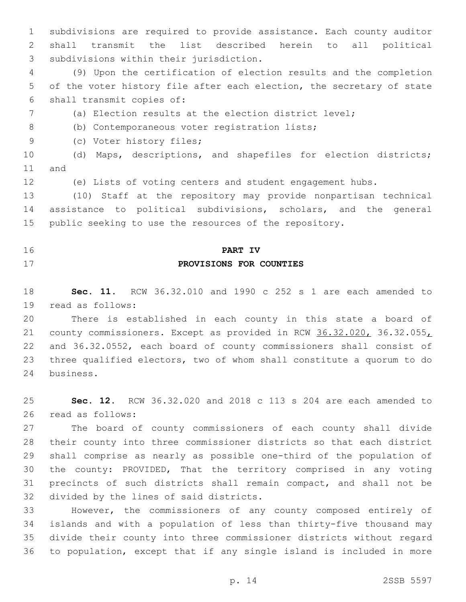subdivisions are required to provide assistance. Each county auditor shall transmit the list described herein to all political 3 subdivisions within their jurisdiction.

 (9) Upon the certification of election results and the completion of the voter history file after each election, the secretary of state 6 shall transmit copies of:

(a) Election results at the election district level;

8 (b) Contemporaneous voter registration lists;

9 (c) Voter history files;

 (d) Maps, descriptions, and shapefiles for election districts; 11 and

(e) Lists of voting centers and student engagement hubs.

 (10) Staff at the repository may provide nonpartisan technical assistance to political subdivisions, scholars, and the general public seeking to use the resources of the repository.

# **PART IV PROVISIONS FOR COUNTIES**

 **Sec. 11.** RCW 36.32.010 and 1990 c 252 s 1 are each amended to 19 read as follows:

 There is established in each county in this state a board of 21 county commissioners. Except as provided in RCW 36.32.020, 36.32.055, and 36.32.0552, each board of county commissioners shall consist of three qualified electors, two of whom shall constitute a quorum to do 24 business.

 **Sec. 12.** RCW 36.32.020 and 2018 c 113 s 204 are each amended to 26 read as follows:

 The board of county commissioners of each county shall divide their county into three commissioner districts so that each district shall comprise as nearly as possible one-third of the population of the county: PROVIDED, That the territory comprised in any voting precincts of such districts shall remain compact, and shall not be 32 divided by the lines of said districts.

 However, the commissioners of any county composed entirely of islands and with a population of less than thirty-five thousand may divide their county into three commissioner districts without regard to population, except that if any single island is included in more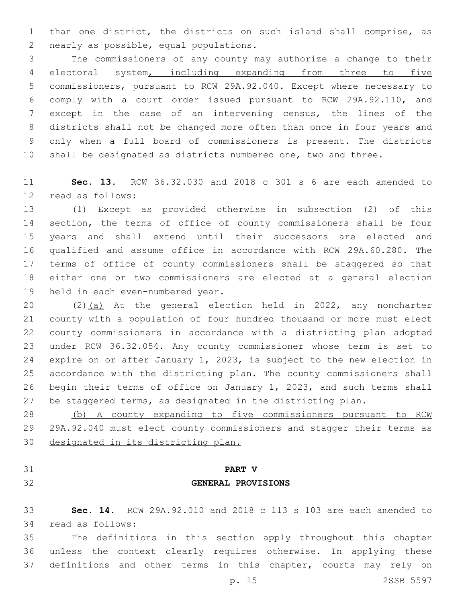than one district, the districts on such island shall comprise, as 2 nearly as possible, equal populations.

 The commissioners of any county may authorize a change to their electoral system, including expanding from three to five commissioners, pursuant to RCW 29A.92.040. Except where necessary to comply with a court order issued pursuant to RCW 29A.92.110, and except in the case of an intervening census, the lines of the districts shall not be changed more often than once in four years and only when a full board of commissioners is present. The districts shall be designated as districts numbered one, two and three.

 **Sec. 13.** RCW 36.32.030 and 2018 c 301 s 6 are each amended to 12 read as follows:

 (1) Except as provided otherwise in subsection (2) of this section, the terms of office of county commissioners shall be four years and shall extend until their successors are elected and qualified and assume office in accordance with RCW 29A.60.280. The terms of office of county commissioners shall be staggered so that either one or two commissioners are elected at a general election 19 held in each even-numbered year.

20 (2)(a) At the general election held in 2022, any noncharter county with a population of four hundred thousand or more must elect county commissioners in accordance with a districting plan adopted under RCW 36.32.054. Any county commissioner whose term is set to expire on or after January 1, 2023, is subject to the new election in accordance with the districting plan. The county commissioners shall begin their terms of office on January 1, 2023, and such terms shall be staggered terms, as designated in the districting plan.

 (b) A county expanding to five commissioners pursuant to RCW 29A.92.040 must elect county commissioners and stagger their terms as designated in its districting plan.

# **PART V GENERAL PROVISIONS**

 **Sec. 14.** RCW 29A.92.010 and 2018 c 113 s 103 are each amended to 34 read as follows:

 The definitions in this section apply throughout this chapter unless the context clearly requires otherwise. In applying these definitions and other terms in this chapter, courts may rely on

p. 15 2SSB 5597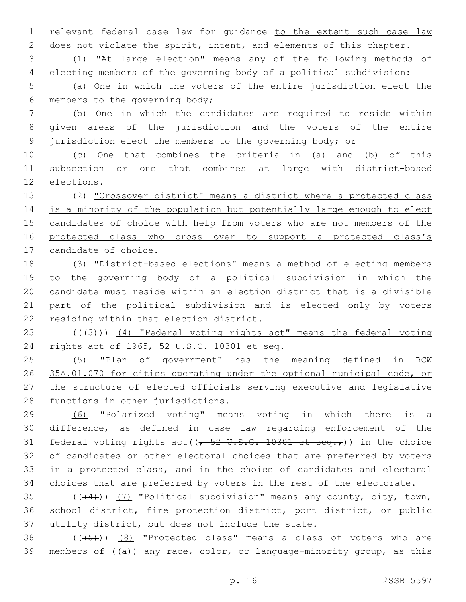relevant federal case law for guidance to the extent such case law 2 does not violate the spirit, intent, and elements of this chapter.

 (1) "At large election" means any of the following methods of electing members of the governing body of a political subdivision:

 (a) One in which the voters of the entire jurisdiction elect the 6 members to the governing body;

 (b) One in which the candidates are required to reside within given areas of the jurisdiction and the voters of the entire jurisdiction elect the members to the governing body; or

 (c) One that combines the criteria in (a) and (b) of this subsection or one that combines at large with district-based 12 elections.

 (2) "Crossover district" means a district where a protected class 14 is a minority of the population but potentially large enough to elect 15 candidates of choice with help from voters who are not members of the protected class who cross over to support a protected class's candidate of choice.

 (3) "District-based elections" means a method of electing members to the governing body of a political subdivision in which the candidate must reside within an election district that is a divisible part of the political subdivision and is elected only by voters 22 residing within that election district.

23  $((43))$   $(4)$  "Federal voting rights act" means the federal voting rights act of 1965, 52 U.S.C. 10301 et seq.

 (5) "Plan of government" has the meaning defined in RCW 35A.01.070 for cities operating under the optional municipal code, or the structure of elected officials serving executive and legislative 28 functions in other jurisdictions.

 (6) "Polarized voting" means voting in which there is a difference, as defined in case law regarding enforcement of the 31 federal voting rights act( $(-52 \text{ U.S.C. } 10301 \text{ et seq.}))$  in the choice of candidates or other electoral choices that are preferred by voters in a protected class, and in the choice of candidates and electoral choices that are preferred by voters in the rest of the electorate.

35  $((44))$   $(7)$  "Political subdivision" means any county, city, town, school district, fire protection district, port district, or public 37 utility district, but does not include the state.

38  $((+5+))$   $(8)$  "Protected class" means a class of voters who are 39 members of  $((a))$  any race, color, or language-minority group, as this